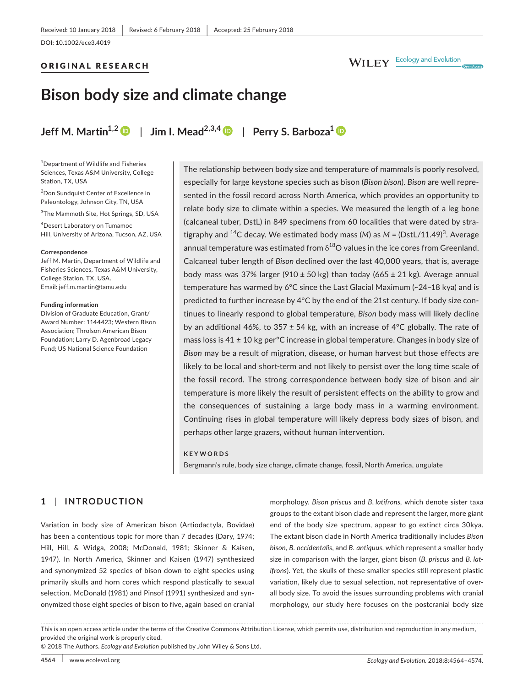# ORIGINAL RESEARCH

# WILEY Ecology and Evolution

# **Bison body size and climate change**

**Jeff M. Martin**<sup>[1](http://orcid.org/0000-0002-1489-6448),2</sup>  $\bullet$  | Jim I. Mead<sup>2,3,4</sup>  $\bullet$  | Perry S. Barboza<sup>1</sup>  $\bullet$ 

1 Department of Wildlife and Fisheries Sciences, Texas A&M University, College Station, TX, USA

2 Don Sundquist Center of Excellence in Paleontology, Johnson City, TN, USA

3 The Mammoth Site, Hot Springs, SD, USA

4 Desert Laboratory on Tumamoc Hill, University of Arizona, Tucson, AZ, USA

#### **Correspondence**

Jeff M. Martin, Department of Wildlife and Fisheries Sciences, Texas A&M University, College Station, TX, USA. Email: [jeff.m.martin@tamu.edu](mailto:jeff.m.martin@tamu.edu)

#### **Funding information**

Division of Graduate Education, Grant/ Award Number: 1144423; Western Bison Association; Throlson American Bison Foundation; Larry D. Agenbroad Legacy Fund; US National Science Foundation

The relationship between body size and temperature of mammals is poorly resolved, especially for large keystone species such as bison (*Bison bison*). *Bison* are well represented in the fossil record across North America, which provides an opportunity to relate body size to climate within a species. We measured the length of a leg bone (calcaneal tuber, DstL) in 849 specimens from 60 localities that were dated by stratigraphy and <sup>14</sup>C decay. We estimated body mass (M) as M = (DstL/11.49)<sup>3</sup>. Average annual temperature was estimated from  $\delta^{18}$ O values in the ice cores from Greenland. Calcaneal tuber length of *Bison* declined over the last 40,000 years, that is, average body mass was 37% larger (910  $\pm$  50 kg) than today (665  $\pm$  21 kg). Average annual temperature has warmed by 6°C since the Last Glacial Maximum (~24–18 kya) and is predicted to further increase by 4°C by the end of the 21st century. If body size continues to linearly respond to global temperature, *Bison* body mass will likely decline by an additional 46%, to 357 ± 54 kg, with an increase of 4°C globally. The rate of mass loss is  $41 \pm 10$  kg per<sup>o</sup>C increase in global temperature. Changes in body size of *Bison* may be a result of migration, disease, or human harvest but those effects are likely to be local and short-term and not likely to persist over the long time scale of the fossil record. The strong correspondence between body size of bison and air temperature is more likely the result of persistent effects on the ability to grow and the consequences of sustaining a large body mass in a warming environment. Continuing rises in global temperature will likely depress body sizes of bison, and perhaps other large grazers, without human intervention.

#### **KEYWORDS**

Bergmann's rule, body size change, climate change, fossil, North America, ungulate

# **1** | **INTRODUCTION**

Variation in body size of American bison (Artiodactyla, Bovidae) has been a contentious topic for more than 7 decades (Dary, 1974; Hill, Hill, & Widga, 2008; McDonald, 1981; Skinner & Kaisen, 1947). In North America, Skinner and Kaisen (1947) synthesized and synonymized 52 species of bison down to eight species using primarily skulls and horn cores which respond plastically to sexual selection. McDonald (1981) and Pinsof (1991) synthesized and synonymized those eight species of bison to five, again based on cranial

morphology. *Bison priscus* and *B. latifrons,* which denote sister taxa groups to the extant bison clade and represent the larger, more giant end of the body size spectrum, appear to go extinct circa 30kya. The extant bison clade in North America traditionally includes *Bison bison*, *B. occidentalis*, and *B. antiquus*, which represent a smaller body size in comparison with the larger, giant bison (*B. priscus* and *B. latifrons*). Yet, the skulls of these smaller species still represent plastic variation, likely due to sexual selection, not representative of overall body size. To avoid the issues surrounding problems with cranial morphology, our study here focuses on the postcranial body size

This is an open access article under the terms of the [Creative Commons Attribution](http://creativecommons.org/licenses/by/4.0/) License, which permits use, distribution and reproduction in any medium, provided the original work is properly cited.

© 2018 The Authors. *Ecology and Evolution* published by John Wiley & Sons Ltd.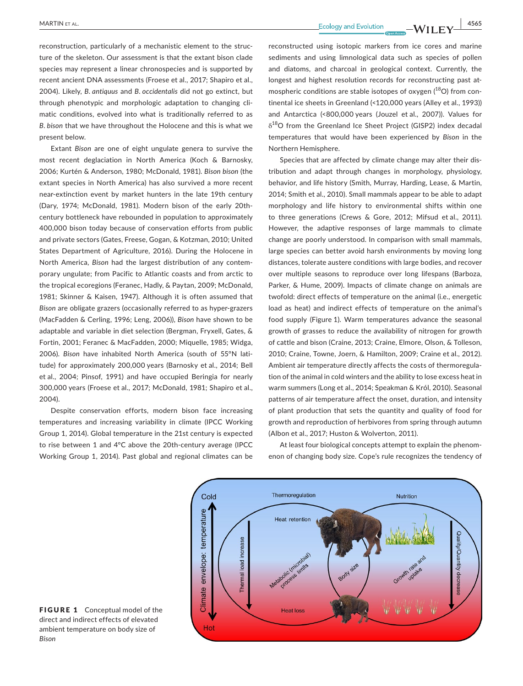**<u>MARTIN ET AL.</u>** 4565

reconstruction, particularly of a mechanistic element to the structure of the skeleton. Our assessment is that the extant bison clade species may represent a linear chronospecies and is supported by recent ancient DNA assessments (Froese et al., 2017; Shapiro et al., 2004). Likely, *B. antiquus* and *B. occidentalis* did not go extinct, but through phenotypic and morphologic adaptation to changing climatic conditions, evolved into what is traditionally referred to as *B. bison* that we have throughout the Holocene and this is what we present below.

Extant *Bison* are one of eight ungulate genera to survive the most recent deglaciation in North America (Koch & Barnosky, 2006; Kurtén & Anderson, 1980; McDonald, 1981). *Bison bison* (the extant species in North America) has also survived a more recent near-extinction event by market hunters in the late 19th century (Dary, 1974; McDonald, 1981). Modern bison of the early 20thcentury bottleneck have rebounded in population to approximately 400,000 bison today because of conservation efforts from public and private sectors (Gates, Freese, Gogan, & Kotzman, 2010; United States Department of Agriculture, 2016). During the Holocene in North America, *Bison* had the largest distribution of any contemporary ungulate; from Pacific to Atlantic coasts and from arctic to the tropical ecoregions (Feranec, Hadly, & Paytan, 2009; McDonald, 1981; Skinner & Kaisen, 1947). Although it is often assumed that *Bison* are obligate grazers (occasionally referred to as hyper-grazers (MacFadden & Cerling, 1996; Leng, 2006)), *Bison* have shown to be adaptable and variable in diet selection (Bergman, Fryxell, Gates, & Fortin, 2001; Feranec & MacFadden, 2000; Miquelle, 1985; Widga, 2006). *Bison* have inhabited North America (south of 55°N latitude) for approximately 200,000 years (Barnosky et al., 2014; Bell et al., 2004; Pinsof, 1991) and have occupied Beringia for nearly 300,000 years (Froese et al., 2017; McDonald, 1981; Shapiro et al., 2004).

Despite conservation efforts, modern bison face increasing temperatures and increasing variability in climate (IPCC Working Group 1, 2014). Global temperature in the 21st century is expected to rise between 1 and 4°C above the 20th-century average (IPCC Working Group 1, 2014). Past global and regional climates can be

reconstructed using isotopic markers from ice cores and marine sediments and using limnological data such as species of pollen and diatoms, and charcoal in geological context. Currently, the longest and highest resolution records for reconstructing past atmospheric conditions are stable isotopes of oxygen  $(^{18}O)$  from continental ice sheets in Greenland (<120,000 years (Alley et al., 1993)) and Antarctica (<800,000 years (Jouzel et al., 2007)). Values for  $\delta^{18}$ O from the Greenland Ice Sheet Project (GISP2) index decadal temperatures that would have been experienced by *Bison* in the Northern Hemisphere.

Species that are affected by climate change may alter their distribution and adapt through changes in morphology, physiology, behavior, and life history (Smith, Murray, Harding, Lease, & Martin, 2014; Smith et al., 2010). Small mammals appear to be able to adapt morphology and life history to environmental shifts within one to three generations (Crews & Gore, 2012; Mifsud et al., 2011). However, the adaptive responses of large mammals to climate change are poorly understood. In comparison with small mammals, large species can better avoid harsh environments by moving long distances, tolerate austere conditions with large bodies, and recover over multiple seasons to reproduce over long lifespans (Barboza, Parker, & Hume, 2009). Impacts of climate change on animals are twofold: direct effects of temperature on the animal (i.e., energetic load as heat) and indirect effects of temperature on the animal's food supply (Figure 1). Warm temperatures advance the seasonal growth of grasses to reduce the availability of nitrogen for growth of cattle and bison (Craine, 2013; Craine, Elmore, Olson, & Tolleson, 2010; Craine, Towne, Joern, & Hamilton, 2009; Craine et al., 2012). Ambient air temperature directly affects the costs of thermoregulation of the animal in cold winters and the ability to lose excess heat in warm summers (Long et al., 2014; Speakman & Król, 2010). Seasonal patterns of air temperature affect the onset, duration, and intensity of plant production that sets the quantity and quality of food for growth and reproduction of herbivores from spring through autumn (Albon et al., 2017; Huston & Wolverton, 2011).

At least four biological concepts attempt to explain the phenomenon of changing body size. Cope's rule recognizes the tendency of



FIGURE 1 Conceptual model of the direct and indirect effects of elevated ambient temperature on body size of *Bison*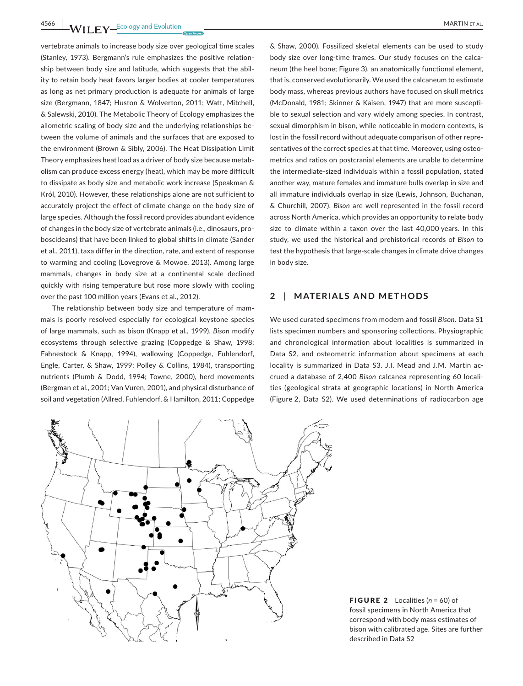**4566 |**  MARTIN et al.

vertebrate animals to increase body size over geological time scales (Stanley, 1973). Bergmann's rule emphasizes the positive relationship between body size and latitude, which suggests that the ability to retain body heat favors larger bodies at cooler temperatures as long as net primary production is adequate for animals of large size (Bergmann, 1847; Huston & Wolverton, 2011; Watt, Mitchell, & Salewski, 2010). The Metabolic Theory of Ecology emphasizes the allometric scaling of body size and the underlying relationships between the volume of animals and the surfaces that are exposed to the environment (Brown & Sibly, 2006). The Heat Dissipation Limit Theory emphasizes heat load as a driver of body size because metabolism can produce excess energy (heat), which may be more difficult to dissipate as body size and metabolic work increase (Speakman & Król, 2010). However, these relationships alone are not sufficient to accurately project the effect of climate change on the body size of large species. Although the fossil record provides abundant evidence of changes in the body size of vertebrate animals (i.e., dinosaurs, proboscideans) that have been linked to global shifts in climate (Sander et al., 2011), taxa differ in the direction, rate, and extent of response to warming and cooling (Lovegrove & Mowoe, 2013). Among large mammals, changes in body size at a continental scale declined quickly with rising temperature but rose more slowly with cooling over the past 100 million years (Evans et al., 2012).

The relationship between body size and temperature of mammals is poorly resolved especially for ecological keystone species of large mammals, such as bison (Knapp et al., 1999). *Bison* modify ecosystems through selective grazing (Coppedge & Shaw, 1998; Fahnestock & Knapp, 1994), wallowing (Coppedge, Fuhlendorf, Engle, Carter, & Shaw, 1999; Polley & Collins, 1984), transporting nutrients (Plumb & Dodd, 1994; Towne, 2000), herd movements (Bergman et al., 2001; Van Vuren, 2001), and physical disturbance of soil and vegetation (Allred, Fuhlendorf, & Hamilton, 2011; Coppedge

& Shaw, 2000). Fossilized skeletal elements can be used to study body size over long-time frames. Our study focuses on the calcaneum (the heel bone; Figure 3), an anatomically functional element, that is, conserved evolutionarily. We used the calcaneum to estimate body mass, whereas previous authors have focused on skull metrics (McDonald, 1981; Skinner & Kaisen, 1947) that are more susceptible to sexual selection and vary widely among species. In contrast, sexual dimorphism in bison, while noticeable in modern contexts, is lost in the fossil record without adequate comparison of other representatives of the correct species at that time. Moreover, using osteometrics and ratios on postcranial elements are unable to determine the intermediate-sized individuals within a fossil population, stated another way, mature females and immature bulls overlap in size and all immature individuals overlap in size (Lewis, Johnson, Buchanan, & Churchill, 2007). *Bison* are well represented in the fossil record across North America, which provides an opportunity to relate body size to climate within a taxon over the last 40,000 years. In this study, we used the historical and prehistorical records of *Bison* to test the hypothesis that large-scale changes in climate drive changes in body size.

# **2** | **MATERIALS AND METHODS**

We used curated specimens from modern and fossil *Bison*. Data S1 lists specimen numbers and sponsoring collections. Physiographic and chronological information about localities is summarized in Data S2, and osteometric information about specimens at each locality is summarized in Data S3. J.I. Mead and J.M. Martin accrued a database of 2,400 *Bison* calcanea representing 60 localities (geological strata at geographic locations) in North America (Figure 2, Data S2). We used determinations of radiocarbon age



FIGURE 2 Localities (*n* = 60) of fossil specimens in North America that correspond with body mass estimates of bison with calibrated age. Sites are further described in Data S2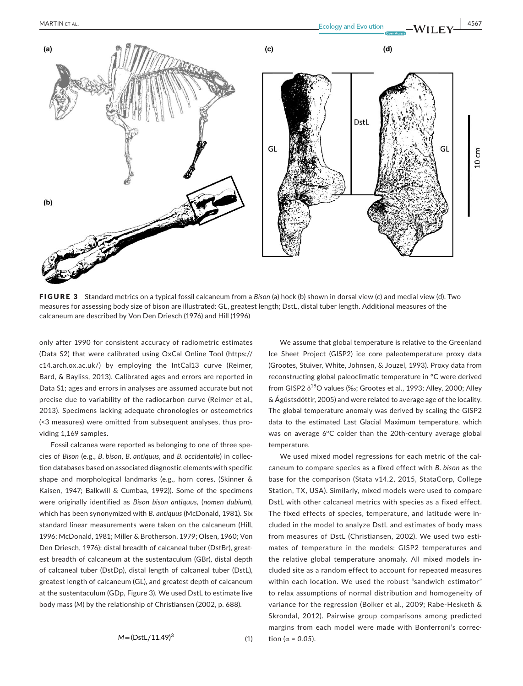

FIGURE 3 Standard metrics on a typical fossil calcaneum from a *Bison* (a) hock (b) shown in dorsal view (c) and medial view (d). Two measures for assessing body size of bison are illustrated: GL, greatest length; DstL, distal tuber length. Additional measures of the calcaneum are described by Von Den Driesch (1976) and Hill (1996)

only after 1990 for consistent accuracy of radiometric estimates (Data S2) that were calibrated using OxCal Online Tool ([https://](https://c14.arch.ox.ac.uk/) [c14.arch.ox.ac.uk/\)](https://c14.arch.ox.ac.uk/) by employing the IntCal13 curve (Reimer, Bard, & Bayliss, 2013). Calibrated ages and errors are reported in Data S1; ages and errors in analyses are assumed accurate but not precise due to variability of the radiocarbon curve (Reimer et al., 2013). Specimens lacking adequate chronologies or osteometrics (<3 measures) were omitted from subsequent analyses, thus providing 1,169 samples.

Fossil calcanea were reported as belonging to one of three species of *Bison* (e.g., *B. bison*, *B. antiquus*, and *B. occidentalis*) in collection databases based on associated diagnostic elements with specific shape and morphological landmarks (e.g., horn cores, (Skinner & Kaisen, 1947; Balkwill & Cumbaa, 1992)). Some of the specimens were originally identified as *Bison bison antiquus*, (*nomen dubium*), which has been synonymized with *B. antiquus* (McDonald, 1981). Six standard linear measurements were taken on the calcaneum (Hill, 1996; McDonald, 1981; Miller & Brotherson, 1979; Olsen, 1960; Von Den Driesch, 1976): distal breadth of calcaneal tuber (DstBr), greatest breadth of calcaneum at the sustentaculum (GBr), distal depth of calcaneal tuber (DstDp), distal length of calcaneal tuber (DstL), greatest length of calcaneum (GL), and greatest depth of calcaneum at the sustentaculum (GDp, Figure 3). We used DstL to estimate live body mass (*M*) by the relationship of Christiansen (2002, p. 688).

$$
M = (DstL/11.49)^3
$$

We assume that global temperature is relative to the Greenland Ice Sheet Project (GISP2) ice core paleotemperature proxy data (Grootes, Stuiver, White, Johnsen, & Jouzel, 1993). Proxy data from reconstructing global paleoclimatic temperature in °C were derived from GISP2  $\delta^{18}$ O values (‰; Grootes et al., 1993; Alley, 2000; Alley & Ágústsdóttir, 2005) and were related to average age of the locality. The global temperature anomaly was derived by scaling the GISP2 data to the estimated Last Glacial Maximum temperature, which was on average 6°C colder than the 20th-century average global temperature.

We used mixed model regressions for each metric of the calcaneum to compare species as a fixed effect with *B. bison* as the base for the comparison (Stata v14.2, 2015, StataCorp, College Station, TX, USA). Similarly, mixed models were used to compare DstL with other calcaneal metrics with species as a fixed effect. The fixed effects of species, temperature, and latitude were included in the model to analyze DstL and estimates of body mass from measures of DstL (Christiansen, 2002). We used two estimates of temperature in the models: GISP2 temperatures and the relative global temperature anomaly. All mixed models included site as a random effect to account for repeated measures within each location. We used the robust "sandwich estimator" to relax assumptions of normal distribution and homogeneity of variance for the regression (Bolker et al., 2009; Rabe-Hesketh & Skrondal, 2012). Pairwise group comparisons among predicted margins from each model were made with Bonferroni's correc-*M* tion ( $\alpha$  = 0.05).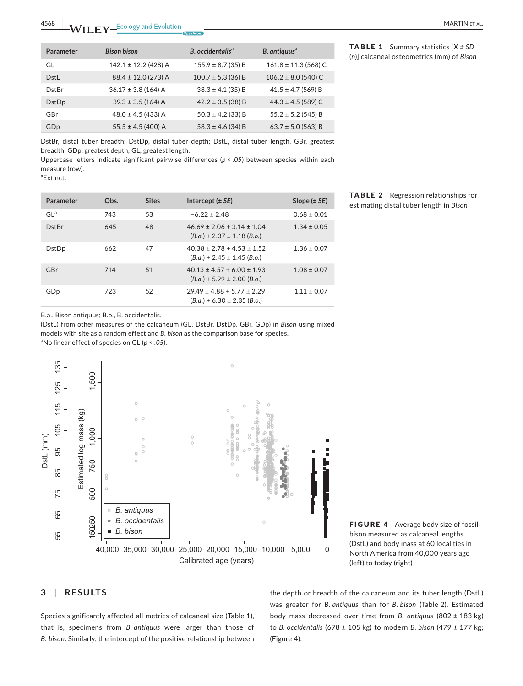| Parameter       | <b>Bison bison</b>       | B. occidentalis <sup>a</sup> | B. antiquus <sup>a</sup> |
|-----------------|--------------------------|------------------------------|--------------------------|
| GL              | $142.1 \pm 12.2$ (428) A | $155.9 \pm 8.7$ (35) B       | $161.8 \pm 11.3$ (568) C |
| DstL            | $88.4 \pm 12.0$ (273) A  | $100.7 \pm 5.3$ (36) B       | $106.2 \pm 8.0$ (540) C  |
| DstBr           | $36.17 \pm 3.8$ (164) A  | $38.3 \pm 4.1$ (35) B        | $41.5 \pm 4.7$ (569) B   |
| DstDp           | $39.3 \pm 3.5$ (164) A   | $42.2 \pm 3.5$ (38) B        | $44.3 \pm 4.5$ (589) C   |
| GBr             | $48.0 \pm 4.5$ (433) A   | $50.3 \pm 4.2$ (33) B        | $55.2 \pm 5.2$ (545) B   |
| GD <sub>p</sub> | $55.5 \pm 4.5$ (400) A   | $58.3 \pm 4.6$ (34) B        | $63.7 \pm 5.0$ (563) B   |

DstBr, distal tuber breadth; DstDp, distal tuber depth; DstL, distal tuber length, GBr, greatest breadth; GDp, greatest depth; GL, greatest length.

Uppercase letters indicate significant pairwise differences (*p* < *.05*) between species within each measure (row).

a Extinct.

| Parameter       | Obs. | <b>Sites</b> | Intercept $(\pm SE)$                                                | Slope $(\pm SE)$ |
|-----------------|------|--------------|---------------------------------------------------------------------|------------------|
| $GL^a$          | 743  | 53           | $-6.22 \pm 2.48$                                                    | $0.68 \pm 0.01$  |
| <b>DstBr</b>    | 645  | 48           | $46.69 \pm 2.06 + 3.14 \pm 1.04$<br>$(B.a.) + 2.37 \pm 1.18$ (B.o.) | $1.34 \pm 0.05$  |
| <b>DstDp</b>    | 662  | 47           | $40.38 \pm 2.78 + 4.53 \pm 1.52$<br>$(B.a.) + 2.45 \pm 1.45$ (B.o.) | $1.36 \pm 0.07$  |
| GBr             | 714  | 51           | $40.13 \pm 4.57 + 6.00 \pm 1.93$<br>$(B.a.) + 5.99 \pm 2.00$ (B.o.) | $1.08 \pm 0.07$  |
| GD <sub>p</sub> | 723  | 52           | $29.49 \pm 4.88 + 5.77 \pm 2.29$<br>$(B.a.) + 6.30 \pm 2.35$ (B.o.) | $1.11 \pm 0.07$  |

TABLE 2 Regression relationships for estimating distal tuber length in *Bison*

B.a., Bison antiquus; B.o., B. occidentalis.

(DstL) from other measures of the calcaneum (GL, DstBr, DstDp, GBr, GDp) in *Bison* using mixed models with site as a random effect and *B. bison* as the comparison base for species. a No linear effect of species on GL (*p* < *.05*).





# **3** | **RESULTS**

Species significantly affected all metrics of calcaneal size (Table 1), that is, specimens from *B. antiquus* were larger than those of *B. bison*. Similarly, the intercept of the positive relationship between

the depth or breadth of the calcaneum and its tuber length (DstL) was greater for *B. antiquus* than for *B. bison* (Table 2). Estimated body mass decreased over time from *B. antiquus* (802 ± 183 kg) to *B. occidentalis* (678 ± 105 kg) to modern *B. bison* (479 ± 177 kg; (Figure 4).

**TABLE 1** Summary statistics  $[\bar{X} \pm SD]$ (*n*)] calcaneal osteometrics (mm) of *Bison*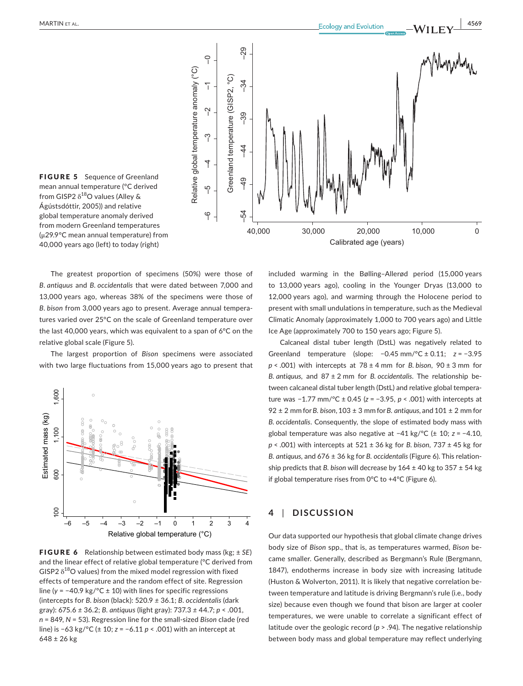

FIGURE 5 Sequence of Greenland mean annual temperature (°C derived from GISP2  $\delta^{18}$ O values (Alley & Ágústsdóttir, 2005)) and relative global temperature anomaly derived from modern Greenland temperatures (μ29.9°C mean annual temperature) from 40,000 years ago (left) to today (right)

The greatest proportion of specimens (50%) were those of *B. antiquus* and *B. occidentalis* that were dated between 7,000 and 13,000 years ago, whereas 38% of the specimens were those of *B. bison* from 3,000 years ago to present. Average annual temperatures varied over 25°C on the scale of Greenland temperature over the last 40,000 years, which was equivalent to a span of 6°C on the relative global scale (Figure 5).

The largest proportion of *Bison* specimens were associated with two large fluctuations from 15,000 years ago to present that



FIGURE 6 Relationship between estimated body mass (kg; ± *SE*) and the linear effect of relative global temperature (°C derived from GISP2  $\delta^{18}$ O values) from the mixed model regression with fixed effects of temperature and the random effect of site. Regression line (*y* = −40.9 kg/°C ± 10) with lines for specific regressions (intercepts for *B. bison* (black): 520.9 *±* 36.1; *B. occidentalis* (dark gray): 675.6 *±* 36.2; *B. antiquus* (light gray): 737.3 *±* 44.7; *p* < .001, *n* = 849, *N* = 53). Regression line for the small-sized *Bison* clade (red line) is −63 kg/°C (± 10; *z* = −6.11 *p* < .001) with an intercept at  $648 \pm 26$  kg

included warming in the Bølling–Allerød period (15,000 years to 13,000 years ago), cooling in the Younger Dryas (13,000 to 12,000 years ago), and warming through the Holocene period to present with small undulations in temperature, such as the Medieval Climatic Anomaly (approximately 1,000 to 700 years ago) and Little Ice Age (approximately 700 to 150 years ago; Figure 5).

Calcaneal distal tuber length (DstL) was negatively related to Greenland temperature (slope: −0.45 mm/°C ± 0.11; *z* = −3.95 *p* < .001) with intercepts at 78 ± 4 mm for *B. bison*, 90 ± 3 mm for *B. antiquus,* and 87 ± 2 mm for *B. occidentalis*. The relationship between calcaneal distal tuber length (DstL) and relative global temperature was −1.77 mm/°C ± 0.45 (*z* = −3.95, *p* < .001) with intercepts at 92 ± 2 mm for *B. bison*, 103 ± 3 mm for *B. antiquus,* and 101 ± 2 mm for *B. occidentalis*. Consequently, the slope of estimated body mass with global temperature was also negative at −41 kg/°C (± 10; *z* = −4.10, *p* < .001) with intercepts at 521 ± 36 kg for *B. bison*, 737 ± 45 kg for *B. antiquus,* and 676 ± 36 kg for *B. occidentalis* (Figure 6). This relationship predicts that *B. bison* will decrease by 164 ± 40 kg to 357 ± 54 kg if global temperature rises from 0°C to +4°C (Figure 6).

# **4** | **DISCUSSION**

Our data supported our hypothesis that global climate change drives body size of *Bison* spp., that is, as temperatures warmed, *Bison* became smaller. Generally, described as Bergmann's Rule (Bergmann, 1847), endotherms increase in body size with increasing latitude (Huston & Wolverton, 2011). It is likely that negative correlation between temperature and latitude is driving Bergmann's rule (i.e., body size) because even though we found that bison are larger at cooler temperatures, we were unable to correlate a significant effect of latitude over the geologic record (*p* > .94). The negative relationship between body mass and global temperature may reflect underlying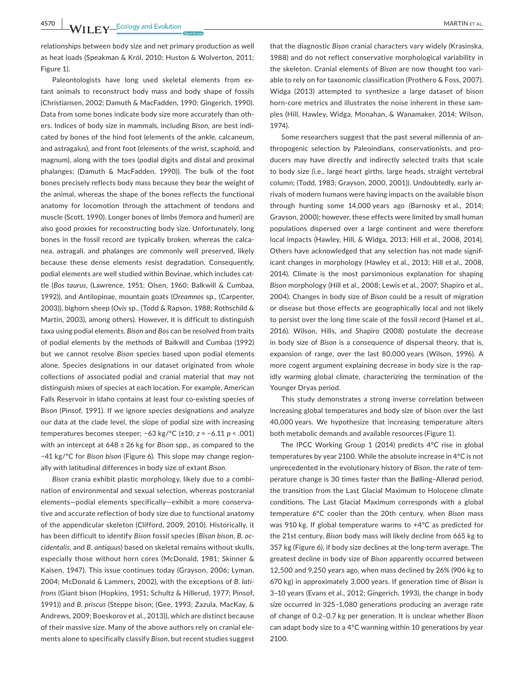**4570 WII FY** Ecology and Evolution **and Experiment Construction** MARTIN ET AL.

relationships between body size and net primary production as well as heat loads (Speakman & Król, 2010; Huston & Wolverton, 2011; Figure 1).

Paleontologists have long used skeletal elements from extant animals to reconstruct body mass and body shape of fossils (Christiansen, 2002; Damuth & MacFadden, 1990; Gingerich, 1990). Data from some bones indicate body size more accurately than others. Indices of body size in mammals, including *Bison,* are best indicated by bones of the hind foot (elements of the ankle, calcaneum, and astragalus), and front foot (elements of the wrist, scaphoid, and magnum), along with the toes (podial digits and distal and proximal phalanges; (Damuth & MacFadden, 1990)). The bulk of the foot bones precisely reflects body mass because they bear the weight of the animal, whereas the shape of the bones reflects the functional anatomy for locomotion through the attachment of tendons and muscle (Scott, 1990). Longer bones of limbs (femora and humeri) are also good proxies for reconstructing body size. Unfortunately, long bones in the fossil record are typically broken, whereas the calcanea, astragali, and phalanges are commonly well preserved, likely because these dense elements resist degradation. Consequently, podial elements are well studied within Bovinae, which includes cattle (*Bos taurus*, (Lawrence, 1951; Olsen, 1960; Balkwill & Cumbaa, 1992)), and Antilopinae, mountain goats (*Oreamnos* sp., (Carpenter, 2003)), bighorn sheep (*Ovis* sp., (Todd & Rapson, 1988; Rothschild & Martin, 2003), among others). However, it is difficult to distinguish taxa using podial elements. *Bison* and *Bos* can be resolved from traits of podial elements by the methods of Balkwill and Cumbaa (1992) but we cannot resolve *Bison* species based upon podial elements alone. Species designations in our dataset originated from whole collections of associated podial and cranial material that may not distinguish mixes of species at each location. For example, American Falls Reservoir in Idaho contains at least four co-existing species of *Bison* (Pinsof, 1991). If we ignore species designations and analyze our data at the clade level, the slope of podial size with increasing temperatures becomes steeper; −63 kg/°C (±10; *z* = −6.11 *p* < .001) with an intercept at 648 ± 26 kg for *Bison* spp., as compared to the −41 kg/°C for *Bison bison* (Figure 6). This slope may change regionally with latitudinal differences in body size of extant *Bison*.

*Bison* crania exhibit plastic morphology, likely due to a combination of environmental and sexual selection, whereas postcranial elements—podial elements specifically—exhibit a more conservative and accurate reflection of body size due to functional anatomy of the appendicular skeleton (Clifford, 2009, 2010). Historically, it has been difficult to identify *Bison* fossil species (*Bison bison*, *B. occidentalis*, and *B. antiquus*) based on skeletal remains without skulls, especially those without horn cores (McDonald, 1981; Skinner & Kaisen, 1947). This issue continues today (Grayson, 2006; Lyman, 2004; McDonald & Lammers, 2002), with the exceptions of *B. latifrons* (Giant bison (Hopkins, 1951; Schultz & Hillerud, 1977; Pinsof, 1991)) and *B. priscus* (Steppe bison; (Gee, 1993; Zazula, MacKay, & Andrews, 2009; Boeskorov et al., 2013)), which are distinct because of their massive size. Many of the above authors rely on cranial elements alone to specifically classify *Bison*, but recent studies suggest

that the diagnostic *Bison* cranial characters vary widely (Krasinska, 1988) and do not reflect conservative morphological variability in the skeleton. Cranial elements of *Bison* are now thought too variable to rely on for taxonomic classification (Prothero & Foss, 2007). Widga (2013) attempted to synthesize a large dataset of bison horn-core metrics and illustrates the noise inherent in these samples (Hill, Hawley, Widga, Monahan, & Wanamaker, 2014; Wilson, 1974).

Some researchers suggest that the past several millennia of anthropogenic selection by Paleoindians, conservationists, and producers may have directly and indirectly selected traits that scale to body size (i.e., large heart girths, large heads, straight vertebral column; (Todd, 1983; Grayson, 2000, 2001)). Undoubtedly, early arrivals of modern humans were having impacts on the available bison through hunting some 14,000 years ago (Barnosky et al., 2014; Grayson, 2000); however, these effects were limited by small human populations dispersed over a large continent and were therefore local impacts (Hawley, Hill, & Widga, 2013; Hill et al., 2008, 2014). Others have acknowledged that any selection has not made significant changes in morphology (Hawley et al., 2013; Hill et al., 2008, 2014). Climate is the most parsimonious explanation for shaping *Bison* morphology (Hill et al., 2008; Lewis et al., 2007; Shapiro et al., 2004). Changes in body size of *Bison* could be a result of migration or disease but those effects are geographically local and not likely to persist over the long time scale of the fossil record (Hamel et al., 2016). Wilson, Hills, and Shapiro (2008) postulate the decrease in body size of *Bison* is a consequence of dispersal theory, that is, expansion of range, over the last 80,000 years (Wilson, 1996). A more cogent argument explaining decrease in body size is the rapidly warming global climate, characterizing the termination of the Younger Dryas period.

This study demonstrates a strong inverse correlation between increasing global temperatures and body size of bison over the last 40,000 years. We hypothesize that increasing temperature alters both metabolic demands and available resources (Figure 1).

The IPCC Working Group 1 (2014) predicts 4°C rise in global temperatures by year 2100. While the absolute increase in 4°C is not unprecedented in the evolutionary history of *Bison*, the rate of temperature change is 30 times faster than the Bølling–Allerød period, the transition from the Last Glacial Maximum to Holocene climate conditions. The Last Glacial Maximum corresponds with a global temperature 6°C cooler than the 20th century, when *Bison* mass was 910 kg. If global temperature warms to +4°C as predicted for the 21st century, *Bison* body mass will likely decline from 665 kg to 357 kg (Figure 6), if body size declines at the long-term average. The greatest decline in body size of *Bison* apparently occurred between 12,500 and 9,250 years ago, when mass declined by 26% (906 kg to 670 kg) in approximately 3,000 years. If generation time of *Bison* is 3–10 years (Evans et al., 2012; Gingerich, 1993), the change in body size occurred in 325–1,080 generations producing an average rate of change of 0.2–0.7 kg per generation. It is unclear whether *Bison* can adapt body size to a 4°C warming within 10 generations by year 2100.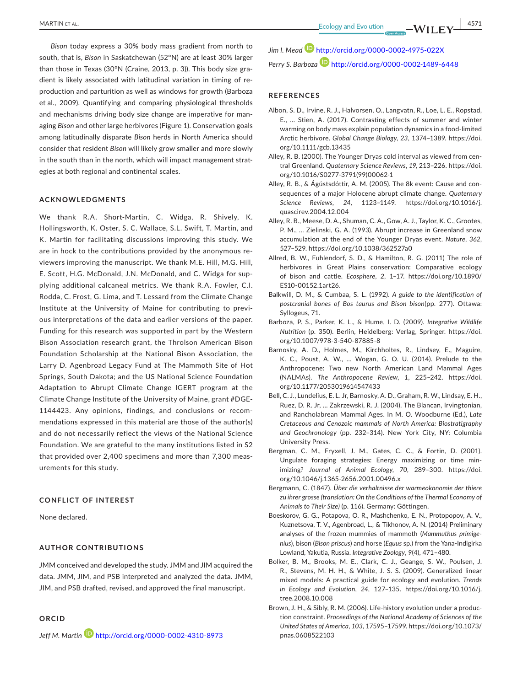*Bison* today express a 30% body mass gradient from north to south, that is, *Bison* in Saskatchewan (52°N) are at least 30% larger than those in Texas (30°N (Craine, 2013, p. 3)). This body size gradient is likely associated with latitudinal variation in timing of reproduction and parturition as well as windows for growth (Barboza et al., 2009). Quantifying and comparing physiological thresholds and mechanisms driving body size change are imperative for managing *Bison* and other large herbivores (Figure 1). Conservation goals among latitudinally disparate *Bison* herds in North America should consider that resident *Bison* will likely grow smaller and more slowly in the south than in the north, which will impact management strategies at both regional and continental scales.

#### **ACKNOWLEDGMENTS**

We thank R.A. Short-Martin, C. Widga, R. Shively, K. Hollingsworth, K. Oster, S. C. Wallace, S.L. Swift, T. Martin, and K. Martin for facilitating discussions improving this study. We are in hock to the contributions provided by the anonymous reviewers improving the manuscript. We thank M.E. Hill, M.G. Hill, E. Scott, H.G. McDonald, J.N. McDonald, and C. Widga for supplying additional calcaneal metrics. We thank R.A. Fowler, C.I. Rodda, C. Frost, G. Lima, and T. Lessard from the Climate Change Institute at the University of Maine for contributing to previous interpretations of the data and earlier versions of the paper. Funding for this research was supported in part by the Western Bison Association research grant, the Throlson American Bison Foundation Scholarship at the National Bison Association, the Larry D. Agenbroad Legacy Fund at The Mammoth Site of Hot Springs, South Dakota; and the US National Science Foundation Adaptation to Abrupt Climate Change IGERT program at the Climate Change Institute of the University of Maine, grant #DGE-1144423. Any opinions, findings, and conclusions or recommendations expressed in this material are those of the author(s) and do not necessarily reflect the views of the National Science Foundation. We are grateful to the many institutions listed in S2 that provided over 2,400 specimens and more than 7,300 measurements for this study.

#### **CONFLICT OF INTEREST**

None declared.

### **AUTHOR CONTRIBUTIONS**

JMM conceived and developed the study. JMM and JIM acquired the data. JMM, JIM, and PSB interpreted and analyzed the data. JMM, JIM, and PSB drafted, revised, and approved the final manuscript.

### **ORCID**

*Jeff M. Marti[n](http://orcid.org/0000-0002-4310-8973)* <http://orcid.org/0000-0002-4310-8973>

*Jim I. Mead* <http://orcid.org/0000-0002-4975-022X> Perry S. Barboza<sup>D</sup> <http://orcid.org/0000-0002-1489-6448>

#### **REFERENCES**

- Albon, S. D., Irvine, R. J., Halvorsen, O., Langvatn, R., Loe, L. E., Ropstad, E., … Stien, A. (2017). Contrasting effects of summer and winter warming on body mass explain population dynamics in a food-limited Arctic herbivore. *Global Change Biology*, *23*, 1374–1389. [https://doi.](http://Contrastingeffects of summer and winter warming on body mass explain population dynamics in a food-limited Arctic herbivore) [org/10.1111/gcb.13435](http://Contrastingeffects of summer and winter warming on body mass explain population dynamics in a food-limited Arctic herbivore)
- Alley, R. B. (2000). The Younger Dryas cold interval as viewed from central Greenland. *Quaternary Science Reviews*, *19*, 213–226. [https://doi.](https://doi.org/10.1016/S0277-3791(99)00062-1) [org/10.1016/S0277-3791\(99\)00062-1](https://doi.org/10.1016/S0277-3791(99)00062-1)
- Alley, R. B., & Ágústsdóttir, A. M. (2005). The 8k event: Cause and consequences of a major Holocene abrupt climate change. *Quaternary Science Reviews*, *24*, 1123–1149. [https://doi.org/10.1016/j.](https://doi.org/10.1016/j.quascirev.2004.12.004) [quascirev.2004.12.004](https://doi.org/10.1016/j.quascirev.2004.12.004)
- Alley, R. B., Meese, D. A., Shuman, C. A., Gow, A. J., Taylor, K. C., Grootes, P. M., … Zielinski, G. A. (1993). Abrupt increase in Greenland snow accumulation at the end of the Younger Dryas event. *Nature*, *362*, 527–529.<https://doi.org/10.1038/362527a0>
- Allred, B. W., Fuhlendorf, S. D., & Hamilton, R. G. (2011) The role of herbivores in Great Plains conservation: Comparative ecology of bison and cattle. *Ecosphere*, *2*, 1–17. [https://doi.org/10.1890/](https://doi.org/10.1890/ES10-00152.1) [ES10-00152.1](https://doi.org/10.1890/ES10-00152.1)art26.
- Balkwill, D. M., & Cumbaa, S. L. (1992). *A guide to the identification of postcranial bones of Bos taurus and Bison bison*(pp. 277). Ottawa: Syllogeus, 71.
- Barboza, P. S., Parker, K. L., & Hume, I. D. (2009). *Integrative Wildlife Nutrition* (p. 350). Berlin, Heidelberg: Verlag, Springer. [https://doi.](https://doi.org/10.1007/978-3-540-87885-8) [org/10.1007/978-3-540-87885-8](https://doi.org/10.1007/978-3-540-87885-8)
- Barnosky, A. D., Holmes, M., Kirchholtes, R., Lindsey, E., Maguire, K. C., Poust, A. W., … Wogan, G. O. U. (2014). Prelude to the Anthropocene: Two new North American Land Mammal Ages (NALMAs). *The Anthropocene Review*, *1*, 225–242. [https://doi.](https://doi.org/10.1177/2053019614547433) [org/10.1177/2053019614547433](https://doi.org/10.1177/2053019614547433)
- Bell, C. J., Lundelius, E. L. Jr, Barnosky, A. D., Graham, R. W., Lindsay, E. H., Ruez, D. R. Jr, … Zakrzewski, R. J. (2004). The Blancan, Irvingtonian, and Rancholabrean Mammal Ages. In M. O. Woodburne (Ed.), *Late Cretaceous and Cenozoic mammals of North America: Biostratigraphy and Geochronology* (pp. 232–314). New York City, NY: Columbia University Press.
- Bergman, C. M., Fryxell, J. M., Gates, C. C., & Fortin, D. (2001). Ungulate foraging strategies: Energy maximizing or time minimizing? *Journal of Animal Ecology*, *70*, 289–300. [https://doi.](https://doi.org/10.1046/j.1365-2656.2001.00496.x) [org/10.1046/j.1365-2656.2001.00496.x](https://doi.org/10.1046/j.1365-2656.2001.00496.x)
- Bergmann, C. (1847). *Über die verhaltnisse der warmeokonomie der thiere zu ihrer grosse (translation: On the Conditions of the Thermal Economy of Animals to Their Size)* (p. 116). Germany: Göttingen.
- Boeskorov, G. G., Potapova, O. R., Mashchenko, E. N., Protopopov, A. V., Kuznetsova, T. V., Agenbroad, L., & Tikhonov, A. N. (2014) Preliminary analyses of the frozen mummies of mammoth (*Mammuthus primigenius*), bison (*Bison priscus*) and horse (*Equus* sp.) from the Yana-Indigirka Lowland, Yakutia, Russia. *Integrative Zoology*, *9*(4), 471–480.
- Bolker, B. M., Brooks, M. E., Clark, C. J., Geange, S. W., Poulsen, J. R., Stevens, M. H. H., & White, J. S. S. (2009). Generalized linear mixed models: A practical guide for ecology and evolution. *Trends in Ecology and Evolution*, *24*, 127–135. [https://doi.org/10.1016/j.](https://doi.org/10.1016/j.tree.2008.10.008) [tree.2008.10.008](https://doi.org/10.1016/j.tree.2008.10.008)
- Brown, J. H., & Sibly, R. M. (2006). Life-history evolution under a production constraint. *Proceedings of the National Academy of Sciences of the United States of America*, *103*, 17595–17599. [https://doi.org/10.1073/](https://doi.org/10.1073/pnas.0608522103) [pnas.0608522103](https://doi.org/10.1073/pnas.0608522103)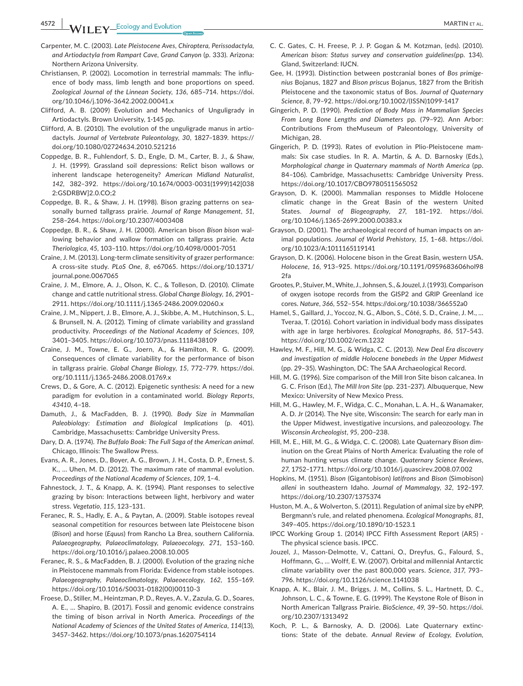- Carpenter, M. C. (2003). *Late Pleistocene Aves, Chiroptera, Perissodactyla, and Artiodactyla from Rampart Cave, Grand Canyon* (p. 333). Arizona: Northern Arizona University.
- Christiansen, P. (2002). Locomotion in terrestrial mammals: The influence of body mass, limb length and bone proportions on speed. *Zoological Journal of the Linnean Society*, *136*, 685–714. [https://doi.](https://doi.org/10.1046/j.1096-3642.2002.00041.x) [org/10.1046/j.1096-3642.2002.00041.x](https://doi.org/10.1046/j.1096-3642.2002.00041.x)
- Clifford, A. B. (2009) Evolution and Mechanics of Unguligrady in Artiodactyls. Brown University, 1-145 pp.
- Clifford, A. B. (2010). The evolution of the unguligrade manus in artiodactyls. *Journal of Vertebrate Paleontology*, *30*, 1827–1839. [https://](https://doi.org/10.1080/02724634.2010.521216) [doi.org/10.1080/02724634.2010.521216](https://doi.org/10.1080/02724634.2010.521216)
- Coppedge, B. R., Fuhlendorf, S. D., Engle, D. M., Carter, B. J., & Shaw, J. H. (1999). Grassland soil depressions: Relict bison wallows or inherent landscape heterogeneity? *American Midland Naturalist*, *142*, 382–392. [https://doi.org/10.1674/0003-0031\(1999\)142\[038](https://doi.org/10.1674/0003-0031(1999)142[0382:GSDRBW]2.0.CO;2) [2:GSDRBW\]2.0.CO;2](https://doi.org/10.1674/0003-0031(1999)142[0382:GSDRBW]2.0.CO;2)
- Coppedge, B. R., & Shaw, J. H. (1998). Bison grazing patterns on seasonally burned tallgrass prairie. *Journal of Range Management*, *51*, 258–264. <https://doi.org/10.2307/4003408>
- Coppedge, B. R., & Shaw, J. H. (2000). American bison *Bison bison* wallowing behavior and wallow formation on tallgrass prairie. *Acta Theriologica*, *45*, 103–110. <https://doi.org/10.4098/0001-7051>
- Craine, J. M. (2013). Long-term climate sensitivity of grazer performance: A cross-site study. *PLoS One*, *8*, e67065. [https://doi.org/10.1371/](https://doi.org/10.1371/journal.pone.0067065) [journal.pone.0067065](https://doi.org/10.1371/journal.pone.0067065)
- Craine, J. M., Elmore, A. J., Olson, K. C., & Tolleson, D. (2010). Climate change and cattle nutritional stress. *Global Change Biology*, *16*, 2901– 2911. <https://doi.org/10.1111/j.1365-2486.2009.02060.x>
- Craine, J. M., Nippert, J. B., Elmore, A. J., Skibbe, A. M., Hutchinson, S. L., & Brunsell, N. A. (2012). Timing of climate variability and grassland productivity. *Proceedings of the National Academy of Sciences*, *109*, 3401–3405. <https://doi.org/10.1073/pnas.1118438109>
- Craine, J. M., Towne, E. G., Joern, A., & Hamilton, R. G. (2009). Consequences of climate variability for the performance of bison in tallgrass prairie. *Global Change Biology*, *15*, 772–779. [https://doi.](https://doi.org/10.1111/j.1365-2486.2008.01769.x) [org/10.1111/j.1365-2486.2008.01769.x](https://doi.org/10.1111/j.1365-2486.2008.01769.x)
- Crews, D., & Gore, A. C. (2012). Epigenetic synthesis: A need for a new paradigm for evolution in a contaminated world. *Biology Reports*, *43410*, 4–18.
- Damuth, J., & MacFadden, B. J. (1990). *Body Size in Mammalian Paleobiology: Estimation and Biological Implications* (p. 401). Cambridge, Massachusetts: Cambridge University Press.
- Dary, D. A. (1974). *The Buffalo Book: The Full Saga of the American animal*. Chicago, Illinois: The Swallow Press.
- Evans, A. R., Jones, D., Boyer, A. G., Brown, J. H., Costa, D. P., Ernest, S. K., … Uhen, M. D. (2012). The maximum rate of mammal evolution. *Proceedings of the National Academy of Sciences*, *109*, 1–4.
- Fahnestock, J. T., & Knapp, A. K. (1994). Plant responses to selective grazing by bison: Interactions between light, herbivory and water stress. *Vegetatio*, *115*, 123–131.
- Feranec, R. S., Hadly, E. A., & Paytan, A. (2009). Stable isotopes reveal seasonal competition for resources between late Pleistocene bison (*Bison*) and horse (*Equus*) from Rancho La Brea, southern California. *Palaeogeography, Palaeoclimatology, Palaeoecology*, *271*, 153–160. <https://doi.org/10.1016/j.palaeo.2008.10.005>
- Feranec, R. S., & MacFadden, B. J. (2000). Evolution of the grazing niche in Pleistocene mammals from Florida: Evidence from stable isotopes. *Palaeogeography, Palaeoclimatology, Palaeoecology*, *162*, 155–169. [https://doi.org/10.1016/S0031-0182\(00\)00110-3](https://doi.org/10.1016/S0031-0182(00)00110-3)
- Froese, D., Stiller, M., Heintzman, P. D., Reyes, A. V., Zazula, G. D., Soares, A. E., … Shapiro, B. (2017). Fossil and genomic evidence constrains the timing of bison arrival in North America. *Proceedings of the National Academy of Sciences of the United States of America*, *114*(13), 3457–3462.<https://doi.org/10.1073/pnas.1620754114>
- C. C. Gates, C. H. Freese, P. J. P. Gogan & M. Kotzman, (eds). (2010). American bison: Status survey and conservation guidelines(pp. 134). Gland, Switzerland: IUCN.
- Gee, H. (1993). Distinction between postcranial bones of *Bos primigenius* Bojanus, 1827 and *Bison priscus* Bojanus, 1827 from the British Pleistocene and the taxonomic status of Bos. *Journal of Quaternary Science*, *8*, 79–92. [https://doi.org/10.1002/\(ISSN\)1099-1417](https://doi.org/10.1002/(ISSN)1099-1417)
- Gingerich, P. D. (1990). *Prediction of Body Mass in Mammalian Species From Long Bone Lengths and Diameters* pp. (79–92). Ann Arbor: Contributions From theMuseum of Paleontology, University of Michigan, 28.
- Gingerich, P. D. (1993). Rates of evolution in Plio-Pleistocene mammals: Six case studies. In R. A. Martin, & A. D. Barnosky (Eds.), *Morphological change in Quaternary mammals of North America* (pp. 84–106). Cambridge, Massachusetts: Cambridge University Press. <https://doi.org/10.1017/CBO9780511565052>
- Grayson, D. K. (2000). Mammalian responses to Middle Holocene climatic change in the Great Basin of the western United States. *Journal of Biogeography*, *27*, 181–192. [https://doi.](https://doi.org/10.1046/j.1365-2699.2000.00383.x) [org/10.1046/j.1365-2699.2000.00383.x](https://doi.org/10.1046/j.1365-2699.2000.00383.x)
- Grayson, D. (2001). The archaeological record of human impacts on animal populations. *Journal of World Prehistory*, *15*, 1–68. [https://doi.](https://doi.org/10.1023/A:1011165119141) [org/10.1023/A:1011165119141](https://doi.org/10.1023/A:1011165119141)
- Grayson, D. K. (2006). Holocene bison in the Great Basin, western USA. *Holocene*, *16*, 913–925. [https://doi.org/10.1191/0959683606hol98](https://doi.org/10.1191/0959683606hol982fa)  $2f\ddot{c}$
- Grootes, P., Stuiver, M., White, J., Johnsen, S., & Jouzel, J. (1993). Comparison of oxygen isotope records from the GISP2 and GRIP Greenland ice cores. *Nature*, *366*, 552–554.<https://doi.org/10.1038/366552a0>
- Hamel, S., Gaillard, J., Yoccoz, N. G., Albon, S., Côté, S. D., Craine, J. M., … Tveraa, T. (2016). Cohort variation in individual body mass dissipates with age in large herbivores. *Ecological Monographs*, *86*, 517–543. <https://doi.org/10.1002/ecm.1232>
- Hawley, M. F., Hill, M. G., & Widga, C. C. (2013). *New Deal Era discovery and investigation of middle Holocene bonebeds in the Upper Midwest* (pp. 29–35). Washington, DC: The SAA Archaeological Record.
- Hill, M. G. (1996). Size comparison of the Mill Iron Site bison calcanea. In G. C. Frison (Ed.), *The Mill Iron Site* (pp. 231–237). Albuquerque, New Mexico: University of New Mexico Press.
- Hill, M. G., Hawley, M. F., Widga, C. C., Monahan, L. A. H., & Wanamaker, A. D. Jr (2014). The Nye site, Wisconsin: The search for early man in the Upper Midwest, investigative incursions, and paleozoology. *The Wisconsin Archeologist*, *95*, 200–238.
- Hill, M. E., Hill, M. G., & Widga, C. C. (2008). Late Quaternary *Bison* diminution on the Great Plains of North America: Evaluating the role of human hunting versus climate change. *Quaternary Science Reviews*, *27*, 1752–1771.<https://doi.org/10.1016/j.quascirev.2008.07.002>
- Hopkins, M. (1951). *Bison* (Gigantobison) *latifrons* and *Bison* (Simobison) *alleni* in southeastern Idaho. *Journal of Mammalogy*, *32*, 192–197. <https://doi.org/10.2307/1375374>
- Huston, M. A., & Wolverton, S. (2011). Regulation of animal size by eNPP, Bergmann's rule, and related phenomena. *Ecological Monographs*, *81*, 349–405.<https://doi.org/10.1890/10-1523.1>
- IPCC Working Group 1. (2014) IPCC Fifth Assessment Report (AR5) The physical science basis. IPCC.
- Jouzel, J., Masson-Delmotte, V., Cattani, O., Dreyfus, G., Falourd, S., Hoffmann, G., … Wolff, E. W. (2007). Orbital and millennial Antarctic climate variability over the past 800,000 years. *Science*, *317*, 793– 796.<https://doi.org/10.1126/science.1141038>
- Knapp, A. K., Blair, J. M., Briggs, J. M., Collins, S. L., Hartnett, D. C., Johnson, L. C., & Towne, E. G. (1999). The Keystone Role of Bison in North American Tallgrass Prairie. *BioScience*, *49*, 39–50. [https://doi.](https://doi.org/10.2307/1313492) [org/10.2307/1313492](https://doi.org/10.2307/1313492)
- Koch, P. L., & Barnosky, A. D. (2006). Late Quaternary extinctions: State of the debate. *Annual Review of Ecology, Evolution,*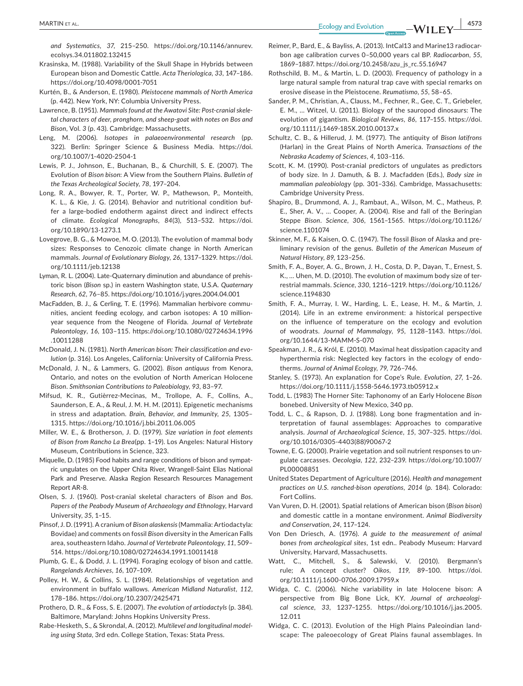**<u>MARTIN ET AL.</u> 1973** 

*and Systematics*, *37*, 215–250. [https://doi.org/10.1146/annurev.](https://doi.org/10.1146/annurev.ecolsys.34.011802.132415) [ecolsys.34.011802.132415](https://doi.org/10.1146/annurev.ecolsys.34.011802.132415)

- Krasinska, M. (1988). Variability of the Skull Shape in Hybrids between European bison and Domestic Cattle. *Acta Theriologica*, *33*, 147–186. <https://doi.org/10.4098/0001-7051>
- Kurtén, B., & Anderson, E. (1980). *Pleistocene mammals of North America* (p. 442). New York, NY: Columbia University Press.
- Lawrence, B. (1951). *Mammals found at the Awatovi Site: Post-cranial skeletal characters of deer, pronghorn, and sheep-goat with notes on Bos and Bison*, Vol. *3* (p. 43). Cambridge: Massachusetts.
- Leng, M. (2006). *Isotopes in palaeoenvironmental research* (pp. 322). Berlin: Springer Science & Business Media. [https://doi.](https://doi.org/10.1007/1-4020-2504-1) [org/10.1007/1-4020-2504-1](https://doi.org/10.1007/1-4020-2504-1)
- Lewis, P. J., Johnson, E., Buchanan, B., & Churchill, S. E. (2007). The Evolution of *Bison bison*: A View from the Southern Plains. *Bulletin of the Texas Archeological Society*, *78*, 197–204.
- Long, R. A., Bowyer, R. T., Porter, W. P., Mathewson, P., Monteith, K. L., & Kie, J. G. (2014). Behavior and nutritional condition buffer a large-bodied endotherm against direct and indirect effects of climate. *Ecological Monographs*, *84*(3), 513–532. [https://doi.](https://doi.org/10.1890/13-1273.1) [org/10.1890/13-1273.1](https://doi.org/10.1890/13-1273.1)
- Lovegrove, B. G., & Mowoe, M. O. (2013). The evolution of mammal body sizes: Responses to Cenozoic climate change in North American mammals. *Journal of Evolutionary Biology*, *26*, 1317–1329. [https://doi.](https://doi.org/10.1111/jeb.12138) [org/10.1111/jeb.12138](https://doi.org/10.1111/jeb.12138)
- Lyman, R. L. (2004). Late-Quaternary diminution and abundance of prehistoric bison (*Bison* sp.) in eastern Washington state, U.S.A. *Quaternary Research*, *62*, 76–85. <https://doi.org/10.1016/j.yqres.2004.04.001>
- MacFadden, B. J., & Cerling, T. E. (1996). Mammalian herbivore communities, ancient feeding ecology, and carbon isotopes: A 10 millionyear sequence from the Neogene of Florida. *Journal of Vertebrate Paleontology*, *16*, 103–115. [https://doi.org/10.1080/02724634.1996](https://doi.org/10.1080/02724634.1996.10011288) [.10011288](https://doi.org/10.1080/02724634.1996.10011288)
- McDonald, J. N. (1981). *North American bison: Their classification and evolution* (p. 316). Los Angeles, California: University of California Press.
- McDonald, J. N., & Lammers, G. (2002). *Bison antiquus* from Kenora, Ontario, and notes on the evolution of North American Holocene *Bison*. *Smithsonian Contributions to Paleobiology*, *93*, 83–97.
- Mifsud, K. R., Gutièrrez-Mecinas, M., Trollope, A. F., Collins, A., Saunderson, E. A., & Reul, J. M. H. M. (2011). Epigenetic mechanisms in stress and adaptation. *Brain, Behavior, and Immunity*, *25*, 1305– 1315. <https://doi.org/10.1016/j.bbi.2011.06.005>
- Miller, W. E., & Brotherson, J. D. (1979). *Size variation in foot elements of Bison from Rancho La Brea*(pp. 1–19). Los Angeles: Natural History Museum, Contributions in Science, 323.
- Miquelle, D. (1985) Food habits and range conditions of bison and sympatric ungulates on the Upper Chita River, Wrangell-Saint Elias National Park and Preserve. Alaska Region Research Resources Management Report AR-8.
- Olsen, S. J. (1960). Post-cranial skeletal characters of *Bison* and *Bos*. *Papers of the Peabody Museum of Archaeology and Ethnology*, Harvard University, *35*, 1–15.
- Pinsof, J. D. (1991). A cranium of *Bison alaskensis* (Mammalia: Artiodactyla: Bovidae) and comments on fossil *Bison* diversity in the American Falls area, southeastern Idaho. *Journal of Vertebrate Paleontology*, *11*, 509– 514.<https://doi.org/10.1080/02724634.1991.10011418>
- Plumb, G. E., & Dodd, J. L. (1994). Foraging ecology of bison and cattle. *Rangelands Archieves*, *16*, 107–109.
- Polley, H. W., & Collins, S. L. (1984). Relationships of vegetation and environment in buffalo wallows. *American Midland Naturalist*, *112*, 178–186.<https://doi.org/10.2307/2425471>
- Prothero, D. R., & Foss, S. E. (2007). *The evolution of artiodactyls* (p. 384). Baltimore, Maryland: Johns Hopkins University Press.
- Rabe-Hesketh, S., & Skrondal, A. (2012). *Multilevel and longitudinal modeling using Stata*, 3rd edn. College Station, Texas: Stata Press.
- Reimer, P., Bard, E., & Bayliss, A. (2013). IntCal13 and Marine13 radiocarbon age calibration curves 0–50,000 years cal BP. *Radiocarbon*, *55*, 1869–1887. [https://doi.org/10.2458/azu\\_js\\_rc.55.16947](https://doi.org/10.2458/azu_js_rc.55.16947)
- Rothschild, B. M., & Martin, L. D. (2003). Frequency of pathology in a large natural sample from natural trap cave with special remarks on erosive disease in the Pleistocene. *Reumatismo*, *55*, 58–65.
- Sander, P. M., Christian, A., Clauss, M., Fechner, R., Gee, C. T., Griebeler, E. M., … Witzel, U. (2011). Biology of the sauropod dinosaurs: The evolution of gigantism. *Biological Reviews*, *86*, 117–155. [https://doi.](https://doi.org/10.1111/j.1469-185X.2010.00137.x) [org/10.1111/j.1469-185X.2010.00137.x](https://doi.org/10.1111/j.1469-185X.2010.00137.x)
- Schultz, C. B., & Hillerud, J. M. (1977). The antiquity of *Bison latifrons* (Harlan) in the Great Plains of North America. *Transactions of the Nebraska Academy of Sciences*, *4*, 103–116.
- Scott, K. M. (1990). Post-cranial predictors of ungulates as predictors of body size. In J. Damuth, & B. J. Macfadden (Eds.), *Body size in mammalian paleobiology* (pp. 301–336). Cambridge, Massachusetts: Cambridge University Press.
- Shapiro, B., Drummond, A. J., Rambaut, A., Wilson, M. C., Matheus, P. E., Sher, A. V., … Cooper, A. (2004). Rise and fall of the Beringian Steppe *Bison*. *Science*, *306*, 1561–1565. [https://doi.org/10.1126/](https://doi.org/10.1126/science.1101074) [science.1101074](https://doi.org/10.1126/science.1101074)
- Skinner, M. F., & Kaisen, O. C. (1947). The fossil *Bison* of Alaska and preliminary revision of the genus. *Bulletin of the American Museum of Natural History*, *89*, 123–256.
- Smith, F. A., Boyer, A. G., Brown, J. H., Costa, D. P., Dayan, T., Ernest, S. K., … Uhen, M. D. (2010). The evolution of maximum body size of terrestrial mammals. *Science*, *330*, 1216–1219. [https://doi.org/10.1126/](https://doi.org/10.1126/science.1194830) [science.1194830](https://doi.org/10.1126/science.1194830)
- Smith, F. A., Murray, I. W., Harding, L. E., Lease, H. M., & Martin, J. (2014). Life in an extreme environment: a historical perspective on the influence of temperature on the ecology and evolution of woodrats. *Journal of Mammalogy*, *95*, 1128–1143. [https://doi.](https://doi.org/10.1644/13-MAMM-S-070) [org/10.1644/13-MAMM-S-070](https://doi.org/10.1644/13-MAMM-S-070)
- Speakman, J. R., & Król, E. (2010). Maximal heat dissipation capacity and hyperthermia risk: Neglected key factors in the ecology of endotherms. *Journal of Animal Ecology*, *79*, 726–746.
- Stanley, S. (1973). An explanation for Cope's Rule. *Evolution*, *27*, 1–26. <https://doi.org/10.1111/j.1558-5646.1973.tb05912.x>
- Todd, L. (1983) The Horner Site: Taphonomy of an Early Holocene *Bison* bonebed. University of New Mexico, 340 pp.
- Todd, L. C., & Rapson, D. J. (1988). Long bone fragmentation and interpretation of faunal assemblages: Approaches to comparative analysis. *Journal of Archaeological Science*, *15*, 307–325. [https://doi.](https://doi.org/10.1016/0305-4403(88)90067-2) [org/10.1016/0305-4403\(88\)90067-2](https://doi.org/10.1016/0305-4403(88)90067-2)
- Towne, E. G. (2000). Prairie vegetation and soil nutrient responses to ungulate carcasses. *Oecologia*, *122*, 232–239. [https://doi.org/10.1007/](https://doi.org/10.1007/PL00008851) [PL00008851](https://doi.org/10.1007/PL00008851)
- United States Department of Agriculture (2016). *Health and management practices on U.S. ranched-bison operations, 2014* (p. 184). Colorado: Fort Collins.
- Van Vuren, D. H. (2001). Spatial relations of American bison (*Bison bison*) and domestic cattle in a montane environment. *Animal Biodiversity and Conservation*, *24*, 117–124.
- Von Den Driesch, A. (1976). *A guide to the measurement of animal bones from archeological sites*, 1st edn.. Peabody Museum: Harvard University, Harvard, Massachusetts.
- Watt, C., Mitchell, S., & Salewski, V. (2010). Bergmann's rule; A concept cluster? *Oikos*, *119*, 89–100. [https://doi.](https://doi.org/10.1111/j.1600-0706.2009.17959.x) [org/10.1111/j.1600-0706.2009.17959.x](https://doi.org/10.1111/j.1600-0706.2009.17959.x)
- Widga, C. C. (2006). Niche variability in late Holocene bison: A perspective from Big Bone Lick, KY. *Journal of archaeological science*, *33*, 1237–1255. [https://doi.org/10.1016/j.jas.2005.](https://doi.org/10.1016/j.jas.2005.12.011) [12.011](https://doi.org/10.1016/j.jas.2005.12.011)
- Widga, C. C. (2013). Evolution of the High Plains Paleoindian landscape: The paleoecology of Great Plains faunal assemblages. In